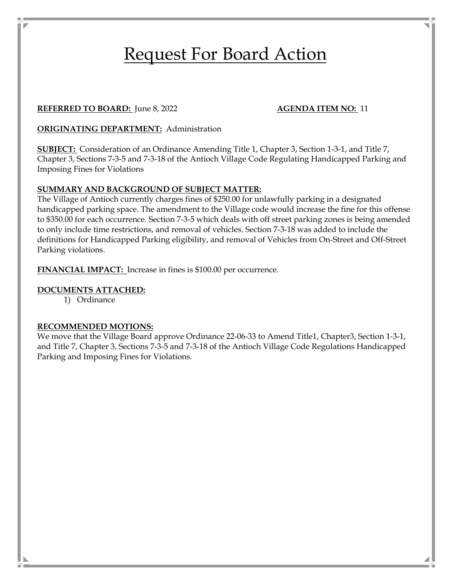# Request For Board Action

#### **REFERRED TO BOARD:** June 8, 2022 **AGENDA ITEM NO:** 11

#### **ORIGINATING DEPARTMENT:** Administration

**SUBJECT:** Consideration of an Ordinance Amending Title 1, Chapter 3, Section 1-3-1, and Title 7, Chapter 3, Sections 7-3-5 and 7-3-18 of the Antioch Village Code Regulating Handicapped Parking and Imposing Fines for Violations

#### **SUMMARY AND BACKGROUND OF SUBJECT MATTER:**

The Village of Antioch currently charges fines of \$250.00 for unlawfully parking in a designated handicapped parking space. The amendment to the Village code would increase the fine for this offense to \$350.00 for each occurrence. Section 7-3-5 which deals with off street parking zones is being amended to only include time restrictions, and removal of vehicles. Section 7-3-18 was added to include the definitions for Handicapped Parking eligibility, and removal of Vehicles from On-Street and Off-Street Parking violations.

**FINANCIAL IMPACT:** Increase in fines is \$100.00 per occurrence.

#### **DOCUMENTS ATTACHED:**

1) Ordinance

#### **RECOMMENDED MOTIONS:**

We move that the Village Board approve Ordinance 22-06-33 to Amend Title1, Chapter3, Section 1-3-1, and Title 7, Chapter 3, Sections 7-3-5 and 7-3-18 of the Antioch Village Code Regulations Handicapped Parking and Imposing Fines for Violations.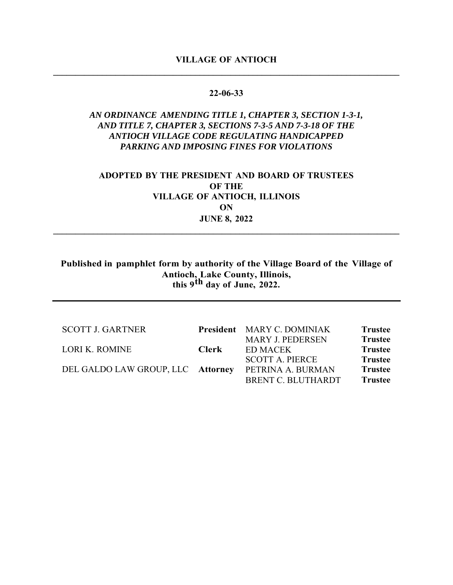#### **22-06-33**

## *AN ORDINANCE AMENDING TITLE 1, CHAPTER 3, SECTION 1-3-1, AND TITLE 7, CHAPTER 3, SECTIONS 7-3-5 AND 7-3-18 OF THE ANTIOCH VILLAGE CODE REGULATING HANDICAPPED PARKING AND IMPOSING FINES FOR VIOLATIONS*

# **ADOPTED BY THE PRESIDENT AND BOARD OF TRUSTEES OF THE VILLAGE OF ANTIOCH, ILLINOIS ON JUNE 8, 2022**

**\_\_\_\_\_\_\_\_\_\_\_\_\_\_\_\_\_\_\_\_\_\_\_\_\_\_\_\_\_\_\_\_\_\_\_\_\_\_\_\_\_\_\_\_\_\_\_\_\_\_\_\_\_\_\_\_\_\_\_\_\_\_\_\_\_\_\_\_\_\_\_\_\_\_\_\_\_\_** 

**Published in pamphlet form by authority of the Village Board of the Village of Antioch, Lake County, Illinois, this 9th day of June, 2022.** 

| <b>SCOTT J. GARTNER</b>           |       | President MARY C. DOMINIAK | <b>Trustee</b> |
|-----------------------------------|-------|----------------------------|----------------|
|                                   |       | <b>MARY J. PEDERSEN</b>    | <b>Trustee</b> |
| <b>LORI K. ROMINE</b>             | Clerk | ED MACEK                   | <b>Trustee</b> |
|                                   |       | <b>SCOTT A. PIERCE</b>     | <b>Trustee</b> |
| DEL GALDO LAW GROUP, LLC Attorney |       | PETRINA A. BURMAN          | <b>Trustee</b> |
|                                   |       | BRENT C. BLUTHARDT         | <b>Trustee</b> |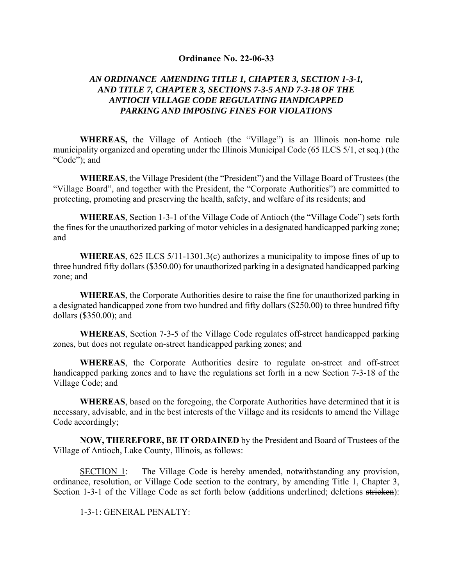#### **Ordinance No. 22-06-33**

## *AN ORDINANCE AMENDING TITLE 1, CHAPTER 3, SECTION 1-3-1, AND TITLE 7, CHAPTER 3, SECTIONS 7-3-5 AND 7-3-18 OF THE ANTIOCH VILLAGE CODE REGULATING HANDICAPPED PARKING AND IMPOSING FINES FOR VIOLATIONS*

**WHEREAS,** the Village of Antioch (the "Village") is an Illinois non-home rule municipality organized and operating under the Illinois Municipal Code (65 ILCS 5/1, et seq.) (the "Code"); and

**WHEREAS**, the Village President (the "President") and the Village Board of Trustees (the "Village Board", and together with the President, the "Corporate Authorities") are committed to protecting, promoting and preserving the health, safety, and welfare of its residents; and

**WHEREAS**, Section 1-3-1 of the Village Code of Antioch (the "Village Code") sets forth the fines for the unauthorized parking of motor vehicles in a designated handicapped parking zone; and

**WHEREAS**, 625 ILCS 5/11-1301.3(c) authorizes a municipality to impose fines of up to three hundred fifty dollars (\$350.00) for unauthorized parking in a designated handicapped parking zone; and

**WHEREAS**, the Corporate Authorities desire to raise the fine for unauthorized parking in a designated handicapped zone from two hundred and fifty dollars (\$250.00) to three hundred fifty dollars (\$350.00); and

**WHEREAS**, Section 7-3-5 of the Village Code regulates off-street handicapped parking zones, but does not regulate on-street handicapped parking zones; and

**WHEREAS**, the Corporate Authorities desire to regulate on-street and off-street handicapped parking zones and to have the regulations set forth in a new Section 7-3-18 of the Village Code; and

**WHEREAS**, based on the foregoing, the Corporate Authorities have determined that it is necessary, advisable, and in the best interests of the Village and its residents to amend the Village Code accordingly;

**NOW, THEREFORE, BE IT ORDAINED** by the President and Board of Trustees of the Village of Antioch, Lake County, Illinois, as follows:

SECTION 1: The Village Code is hereby amended, notwithstanding any provision, ordinance, resolution, or Village Code section to the contrary, by amending Title 1, Chapter 3, Section 1-3-1 of the Village Code as set forth below (additions underlined; deletions stricken):

1-3-1: GENERAL PENALTY: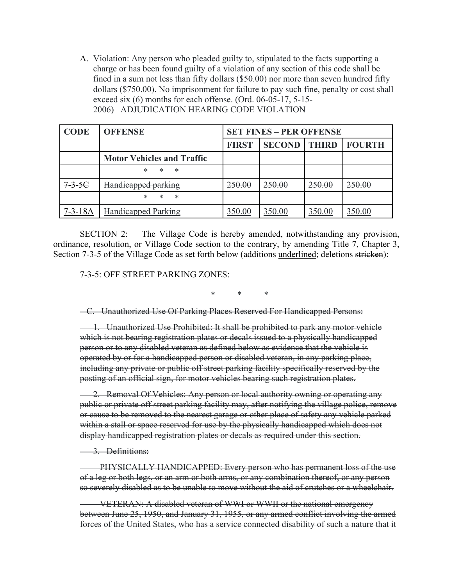A. Violation: Any person who pleaded guilty to, stipulated to the facts supporting a charge or has been found guilty of a violation of any section of this code shall be fined in a sum not less than fifty dollars (\$50.00) nor more than seven hundred fifty dollars (\$750.00). No imprisonment for failure to pay such fine, penalty or cost shall exceed six (6) months for each offense. (Ord. 06-05-17, 5-15- 2006) ADJUDICATION HEARING CODE VIOLATION

| <b>CODE</b>   | <b>OFFENSE</b>                    |              | <b>SET FINES - PER OFFENSE</b> |              |               |
|---------------|-----------------------------------|--------------|--------------------------------|--------------|---------------|
|               |                                   | <b>FIRST</b> | <b>SECOND</b>                  | <b>THIRD</b> | <b>FOURTH</b> |
|               | <b>Motor Vehicles and Traffic</b> |              |                                |              |               |
|               | $\ast$<br>*<br>∗                  |              |                                |              |               |
| $7-3-5C$      | Handicapped parking               | 250.00       | 250.00                         | 250.00       | 250.00        |
|               | *<br>*<br>ж                       |              |                                |              |               |
| $7 - 3 - 18A$ | <b>Handicapped Parking</b>        | 350.00       | 350.00                         | 350.00       | 350.00        |

SECTION 2: The Village Code is hereby amended, notwithstanding any provision, ordinance, resolution, or Village Code section to the contrary, by amending Title 7, Chapter 3, Section 7-3-5 of the Village Code as set forth below (additions underlined; deletions stricken):

7-3-5: OFF STREET PARKING ZONES:

\* \* \*

C. Unauthorized Use Of Parking Places Reserved For Handicapped Persons:

 1. Unauthorized Use Prohibited: It shall be prohibited to park any motor vehicle which is not bearing registration plates or decals issued to a physically handicapped person or to any disabled veteran as defined below as evidence that the vehicle is operated by or for a handicapped person or disabled veteran, in any parking place, including any private or public off street parking facility specifically reserved by the posting of an official sign, for motor vehicles bearing such registration plates.

2. Removal Of Vehicles: Any person or local authority owning or operating any public or private off street parking facility may, after notifying the village police, remove or cause to be removed to the nearest garage or other place of safety any vehicle parked within a stall or space reserved for use by the physically handicapped which does not display handicapped registration plates or decals as required under this section.

3. Definitions:

 PHYSICALLY HANDICAPPED: Every person who has permanent loss of the use of a leg or both legs, or an arm or both arms, or any combination thereof, or any person so severely disabled as to be unable to move without the aid of crutches or a wheelchair.

 VETERAN: A disabled veteran of WWI or WWII or the national emergency between June 25, 1950, and January 31, 1955, or any armed conflict involving the armed forces of the United States, who has a service connected disability of such a nature that it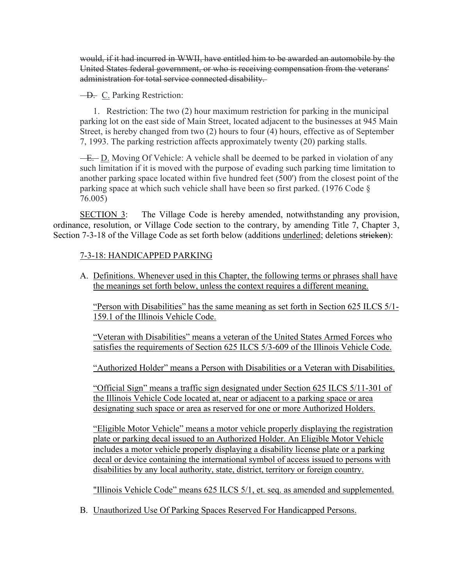would, if it had incurred in WWII, have entitled him to be awarded an automobile by the United States federal government, or who is receiving compensation from the veterans' administration for total service connected disability.

D. C. Parking Restriction:

 1. Restriction: The two (2) hour maximum restriction for parking in the municipal parking lot on the east side of Main Street, located adjacent to the businesses at 945 Main Street, is hereby changed from two (2) hours to four (4) hours, effective as of September 7, 1993. The parking restriction affects approximately twenty (20) parking stalls.

**E.** D. Moving Of Vehicle: A vehicle shall be deemed to be parked in violation of any such limitation if it is moved with the purpose of evading such parking time limitation to another parking space located within five hundred feet (500') from the closest point of the parking space at which such vehicle shall have been so first parked. (1976 Code § 76.005)

SECTION 3: The Village Code is hereby amended, notwithstanding any provision, ordinance, resolution, or Village Code section to the contrary, by amending Title 7, Chapter 3, Section 7-3-18 of the Village Code as set forth below (additions underlined; deletions stricken):

## 7-3-18: HANDICAPPED PARKING

A. Definitions. Whenever used in this Chapter, the following terms or phrases shall have the meanings set forth below, unless the context requires a different meaning.

"Person with Disabilities" has the same meaning as set forth in Section 625 ILCS 5/1- 159.1 of the Illinois Vehicle Code.

"Veteran with Disabilities" means a veteran of the United States Armed Forces who satisfies the requirements of Section 625 ILCS 5/3-609 of the Illinois Vehicle Code.

"Authorized Holder" means a Person with Disabilities or a Veteran with Disabilities.

"Official Sign" means a traffic sign designated under Section 625 ILCS 5/11-301 of the Illinois Vehicle Code located at, near or adjacent to a parking space or area designating such space or area as reserved for one or more Authorized Holders.

"Eligible Motor Vehicle" means a motor vehicle properly displaying the registration plate or parking decal issued to an Authorized Holder. An Eligible Motor Vehicle includes a motor vehicle properly displaying a disability license plate or a parking decal or device containing the international symbol of access issued to persons with disabilities by any local authority, state, district, territory or foreign country.

"Illinois Vehicle Code" means 625 ILCS 5/1, et. seq. as amended and supplemented.

B. Unauthorized Use Of Parking Spaces Reserved For Handicapped Persons.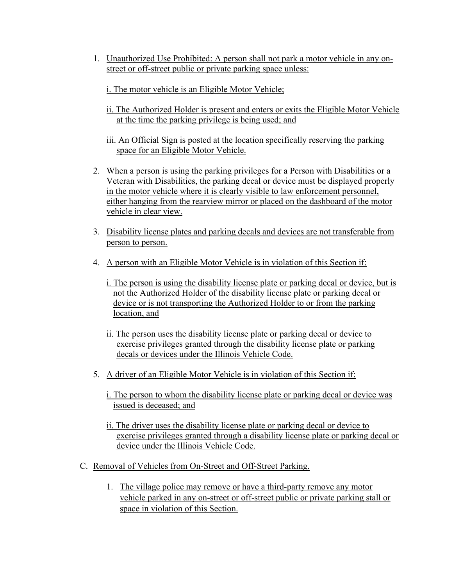- 1. Unauthorized Use Prohibited: A person shall not park a motor vehicle in any onstreet or off-street public or private parking space unless:
	- i. The motor vehicle is an Eligible Motor Vehicle;
	- ii. The Authorized Holder is present and enters or exits the Eligible Motor Vehicle at the time the parking privilege is being used; and
	- iii. An Official Sign is posted at the location specifically reserving the parking space for an Eligible Motor Vehicle.
- 2. When a person is using the parking privileges for a Person with Disabilities or a Veteran with Disabilities, the parking decal or device must be displayed properly in the motor vehicle where it is clearly visible to law enforcement personnel, either hanging from the rearview mirror or placed on the dashboard of the motor vehicle in clear view.
- 3. Disability license plates and parking decals and devices are not transferable from person to person.
- 4. A person with an Eligible Motor Vehicle is in violation of this Section if:
	- i. The person is using the disability license plate or parking decal or device, but is not the Authorized Holder of the disability license plate or parking decal or device or is not transporting the Authorized Holder to or from the parking location, and
	- ii. The person uses the disability license plate or parking decal or device to exercise privileges granted through the disability license plate or parking decals or devices under the Illinois Vehicle Code.
- 5. A driver of an Eligible Motor Vehicle is in violation of this Section if:
	- i. The person to whom the disability license plate or parking decal or device was issued is deceased; and
	- ii. The driver uses the disability license plate or parking decal or device to exercise privileges granted through a disability license plate or parking decal or device under the Illinois Vehicle Code.
- C. Removal of Vehicles from On-Street and Off-Street Parking.
	- 1. The village police may remove or have a third-party remove any motor vehicle parked in any on-street or off-street public or private parking stall or space in violation of this Section.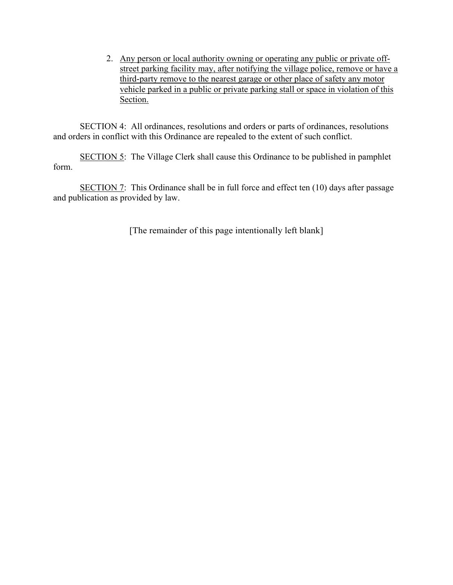2. Any person or local authority owning or operating any public or private offstreet parking facility may, after notifying the village police, remove or have a third-party remove to the nearest garage or other place of safety any motor vehicle parked in a public or private parking stall or space in violation of this Section.

SECTION 4: All ordinances, resolutions and orders or parts of ordinances, resolutions and orders in conflict with this Ordinance are repealed to the extent of such conflict.

SECTION 5: The Village Clerk shall cause this Ordinance to be published in pamphlet form.

SECTION 7: This Ordinance shall be in full force and effect ten (10) days after passage and publication as provided by law.

[The remainder of this page intentionally left blank]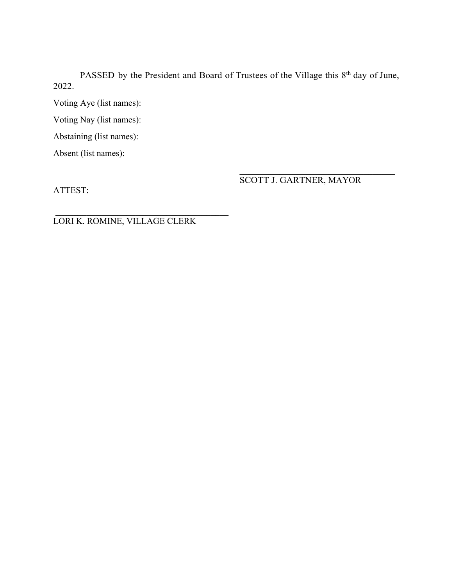PASSED by the President and Board of Trustees of the Village this 8<sup>th</sup> day of June, 2022.

Voting Aye (list names):

Voting Nay (list names):

Abstaining (list names):

Absent (list names):

ATTEST:

SCOTT J. GARTNER, MAYOR

LORI K. ROMINE, VILLAGE CLERK